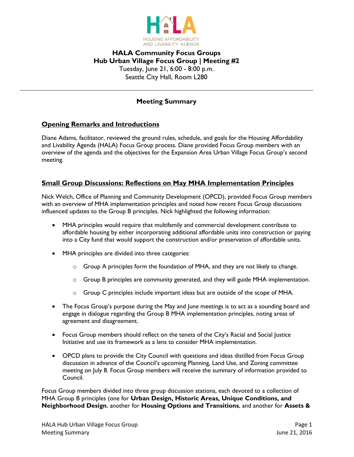

# **HALA Community Focus Groups Hub Urban Village Focus Group | Meeting #2** Tuesday, June 21, 6:00 - 8:00 p.m. Seattle City Hall, Room L280

## **Meeting Summary**

## **Opening Remarks and Introductions**

Diane Adams, facilitator, reviewed the ground rules, schedule, and goals for the Housing Affordability and Livability Agenda (HALA) Focus Group process. Diane provided Focus Group members with an overview of the agenda and the objectives for the Expansion Area Urban Village Focus Group's second meeting.

## **Small Group Discussions: Reflections on May MHA Implementation Principles**

Nick Welch, Office of Planning and Community Development (OPCD), provided Focus Group members with an overview of MHA implementation principles and noted how recent Focus Group discussions influenced updates to the Group B principles. Nick highlighted the following information:

- MHA principles would require that multifamily and commercial development contribute to affordable housing by either incorporating additional affordable units into construction or paying into a City fund that would support the construction and/or preservation of affordable units.
- MHA principles are divided into three categories:
	- $\circ$  Group A principles form the foundation of MHA, and they are not likely to change.
	- $\circ$  Group B principles are community generated, and they will guide MHA implementation.
	- $\circ$  Group C principles include important ideas but are outside of the scope of MHA.
- The Focus Group's purpose during the May and June meetings is to act as a sounding board and engage in dialogue regarding the Group B MHA implementation principles, noting areas of agreement and disagreement.
- Focus Group members should reflect on the tenets of the City's Racial and Social Justice Initiative and use its framework as a lens to consider MHA implementation.
- OPCD plans to provide the City Council with questions and ideas distilled from Focus Group discussion in advance of the Council's upcoming Planning, Land Use, and Zoning committee meeting on July 8. Focus Group members will receive the summary of information provided to Council.

Focus Group members divided into three group discussion stations, each devoted to a collection of MHA Group B principles (one for **Urban Design, Historic Areas, Unique Conditions, and Neighborhood Design**, another for **Housing Options and Transitions**, and another for **Assets &**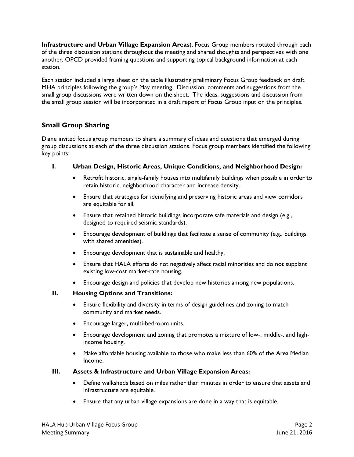**Infrastructure and Urban Village Expansion Areas**). Focus Group members rotated through each of the three discussion stations throughout the meeting and shared thoughts and perspectives with one another. OPCD provided framing questions and supporting topical background information at each station.

Each station included a large sheet on the table illustrating preliminary Focus Group feedback on draft MHA principles following the group's May meeting. Discussion, comments and suggestions from the small group discussions were written down on the sheet. The ideas, suggestions and discussion from the small group session will be incorporated in a draft report of Focus Group input on the principles.

# **Small Group Sharing**

Diane invited focus group members to share a summary of ideas and questions that emerged during group discussions at each of the three discussion stations. Focus group members identified the following key points:

- **I. Urban Design, Historic Areas, Unique Conditions, and Neighborhood Design:**
	- Retrofit historic, single-family houses into multifamily buildings when possible in order to retain historic, neighborhood character and increase density.
	- Ensure that strategies for identifying and preserving historic areas and view corridors are equitable for all.
	- Ensure that retained historic buildings incorporate safe materials and design (e.g., designed to required seismic standards).
	- Encourage development of buildings that facilitate a sense of community (e.g., buildings with shared amenities).
	- Encourage development that is sustainable and healthy.
	- Ensure that HALA efforts do not negatively affect racial minorities and do not supplant existing low-cost market-rate housing.
	- Encourage design and policies that develop new histories among new populations.

### **II. Housing Options and Transitions:**

- Ensure flexibility and diversity in terms of design guidelines and zoning to match community and market needs.
- Encourage larger, multi-bedroom units.
- Encourage development and zoning that promotes a mixture of low-, middle-, and highincome housing.
- Make affordable housing available to those who make less than 60% of the Area Median Income.

### **III. Assets & Infrastructure and Urban Village Expansion Areas:**

- Define walksheds based on miles rather than minutes in order to ensure that assets and infrastructure are equitable.
- Ensure that any urban village expansions are done in a way that is equitable.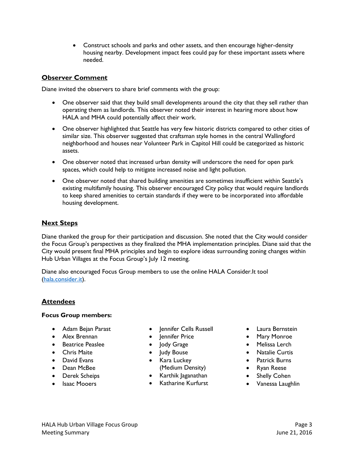Construct schools and parks and other assets, and then encourage higher-density housing nearby. Development impact fees could pay for these important assets where needed.

## **Observer Comment**

Diane invited the observers to share brief comments with the group:

- One observer said that they build small developments around the city that they sell rather than operating them as landlords. This observer noted their interest in hearing more about how HALA and MHA could potentially affect their work.
- One observer highlighted that Seattle has very few historic districts compared to other cities of similar size. This observer suggested that craftsman style homes in the central Wallingford neighborhood and houses near Volunteer Park in Capitol Hill could be categorized as historic assets.
- One observer noted that increased urban density will underscore the need for open park spaces, which could help to mitigate increased noise and light pollution.
- One observer noted that shared building amenities are sometimes insufficient within Seattle's existing multifamily housing. This observer encouraged City policy that would require landlords to keep shared amenities to certain standards if they were to be incorporated into affordable housing development.

## **Next Steps**

Diane thanked the group for their participation and discussion. She noted that the City would consider the Focus Group's perspectives as they finalized the MHA implementation principles. Diane said that the City would present final MHA principles and begin to explore ideas surrounding zoning changes within Hub Urban Villages at the Focus Group's July 12 meeting.

Diane also encouraged Focus Group members to use the online HALA Consider.It tool [\(hala.consider.it\)](file://///mo_2014/data/HALA%20TEAM/Outreach%20Materials/Focus_Groups/Focus%20Group%20Meetings/06_June/Meeting%20Output/hala.consider.it).

## **Attendees**

#### **Focus Group members:**

- Adam Bejan Parast
- Alex Brennan
- **•** Beatrice Peaslee
- Chris Maite
- **•** David Evans
- Dean McBee
- Derek Scheips
- Isaac Mooers
- Jennifer Cells Russell
- Jennifer Price
- Jody Grage
- Judy Bouse
- Kara Luckey (Medium Density)
- Karthik Jaganathan
- Katharine Kurfurst
- Laura Bernstein
- Mary Monroe
- Melissa Lerch
- Natalie Curtis
- Patrick Burns
- Ryan Reese
- Shelly Cohen
- Vanessa Laughlin